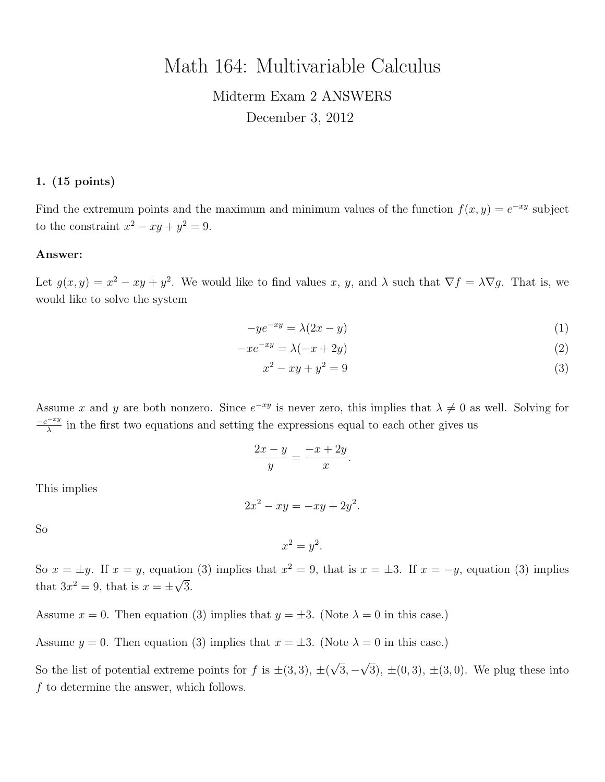# Math 164: Multivariable Calculus

# Midterm Exam 2 ANSWERS December 3, 2012

### 1. (15 points)

Find the extremum points and the maximum and minimum values of the function  $f(x, y) = e^{-xy}$  subject to the constraint  $x^2 - xy + y^2 = 9$ .

#### Answer:

Let  $g(x, y) = x^2 - xy + y^2$ . We would like to find values x, y, and  $\lambda$  such that  $\nabla f = \lambda \nabla g$ . That is, we would like to solve the system

$$
-ye^{-xy} = \lambda(2x - y)
$$
 (1)

$$
-xe^{-xy} = \lambda(-x+2y)
$$
\n<sup>(2)</sup>

$$
x^2 - xy + y^2 = 9
$$
 (3)

Assume x and y are both nonzero. Since  $e^{-xy}$  is never zero, this implies that  $\lambda \neq 0$  as well. Solving for  $-e^{-xy}$  $\frac{z-x_y}{\lambda}$  in the first two equations and setting the expressions equal to each other gives us

$$
\frac{2x-y}{y} = \frac{-x+2y}{x}
$$

.

This implies

$$
2x^2 - xy = -xy + 2y^2.
$$

So

 $x^2 = y^2$ .

So  $x = \pm y$ . If  $x = y$ , equation (3) implies that  $x^2 = 9$ , that is  $x = \pm 3$ . If  $x = -y$ , equation (3) implies that  $3x^2 = 9$ , that is  $x = \pm \sqrt{3}$ .

Assume  $x = 0$ . Then equation (3) implies that  $y = \pm 3$ . (Note  $\lambda = 0$  in this case.)

Assume  $y = 0$ . Then equation (3) implies that  $x = \pm 3$ . (Note  $\lambda = 0$  in this case.)

So the list of potential extreme points for f is  $\pm(3,3)$ ,  $\pm($ √ 3, − √ 3),  $\pm(0, 3)$ ,  $\pm(3, 0)$ . We plug these into f to determine the answer, which follows.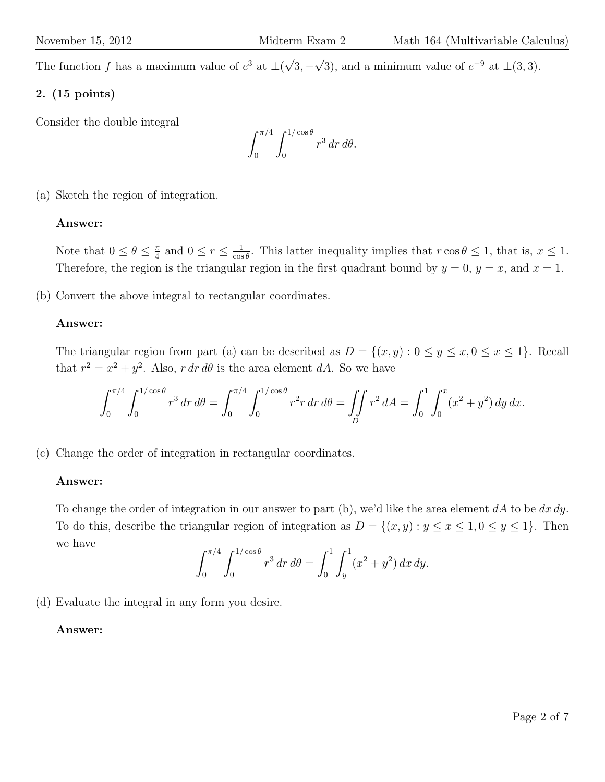The function f has a maximum value of  $e^3$  at  $\pm$ √ 3, − √  $\overline{3}$ , and a minimum value of  $e^{-9}$  at  $\pm(3,3)$ .

## 2. (15 points)

Consider the double integral

$$
\int_0^{\pi/4} \int_0^{1/\cos\theta} r^3 dr d\theta.
$$

(a) Sketch the region of integration.

## Answer:

Note that  $0 \leq \theta \leq \frac{\pi}{4}$  $\frac{\pi}{4}$  and  $0 \leq r \leq \frac{1}{\cos \theta}$  $\frac{1}{\cos \theta}$ . This latter inequality implies that  $r \cos \theta \leq 1$ , that is,  $x \leq 1$ . Therefore, the region is the triangular region in the first quadrant bound by  $y = 0$ ,  $y = x$ , and  $x = 1$ .

(b) Convert the above integral to rectangular coordinates.

## Answer:

The triangular region from part (a) can be described as  $D = \{(x, y) : 0 \le y \le x, 0 \le x \le 1\}$ . Recall that  $r^2 = x^2 + y^2$ . Also, r dr d $\theta$  is the area element dA. So we have

$$
\int_0^{\pi/4} \int_0^{1/\cos\theta} r^3 \, dr \, d\theta = \int_0^{\pi/4} \int_0^{1/\cos\theta} r^2 r \, dr \, d\theta = \iint_D r^2 \, dA = \int_0^1 \int_0^x (x^2 + y^2) \, dy \, dx.
$$

(c) Change the order of integration in rectangular coordinates.

## Answer:

To change the order of integration in our answer to part (b), we'd like the area element  $dA$  to be  $dx dy$ . To do this, describe the triangular region of integration as  $D = \{(x, y) : y \le x \le 1, 0 \le y \le 1\}$ . Then we have

$$
\int_0^{\pi/4} \int_0^{1/\cos\theta} r^3 dr d\theta = \int_0^1 \int_y^1 (x^2 + y^2) dx dy.
$$

(d) Evaluate the integral in any form you desire.

## Answer: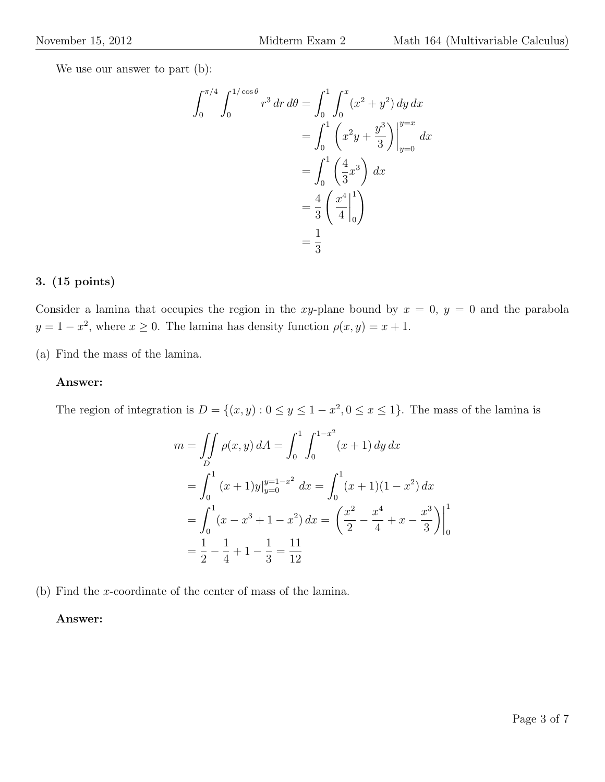We use our answer to part  $(b)$ :

$$
\int_0^{\pi/4} \int_0^{1/\cos \theta} r^3 dr d\theta = \int_0^1 \int_0^x (x^2 + y^2) dy dx
$$
  
= 
$$
\int_0^1 \left( x^2 y + \frac{y^3}{3} \right) \Big|_{y=0}^{y=x} dx
$$
  
= 
$$
\int_0^1 \left( \frac{4}{3} x^3 \right) dx
$$
  
= 
$$
\frac{4}{3} \left( \frac{x^4}{4} \Big|_0^1 \right)
$$
  
= 
$$
\frac{1}{3}
$$

## 3. (15 points)

Consider a lamina that occupies the region in the xy-plane bound by  $x = 0$ ,  $y = 0$  and the parabola  $y = 1 - x^2$ , where  $x \ge 0$ . The lamina has density function  $\rho(x, y) = x + 1$ .

(a) Find the mass of the lamina.

#### Answer:

The region of integration is  $D = \{(x, y) : 0 \le y \le 1 - x^2, 0 \le x \le 1\}$ . The mass of the lamina is

$$
m = \iint_D \rho(x, y) dA = \int_0^1 \int_0^{1-x^2} (x+1) dy dx
$$
  
= 
$$
\int_0^1 (x+1)y|_{y=0}^{y=1-x^2} dx = \int_0^1 (x+1)(1-x^2) dx
$$
  
= 
$$
\int_0^1 (x-x^3+1-x^2) dx = \left(\frac{x^2}{2} - \frac{x^4}{4} + x - \frac{x^3}{3}\right)\Big|_0^1
$$
  
= 
$$
\frac{1}{2} - \frac{1}{4} + 1 - \frac{1}{3} = \frac{11}{12}
$$

(b) Find the x-coordinate of the center of mass of the lamina.

## Answer: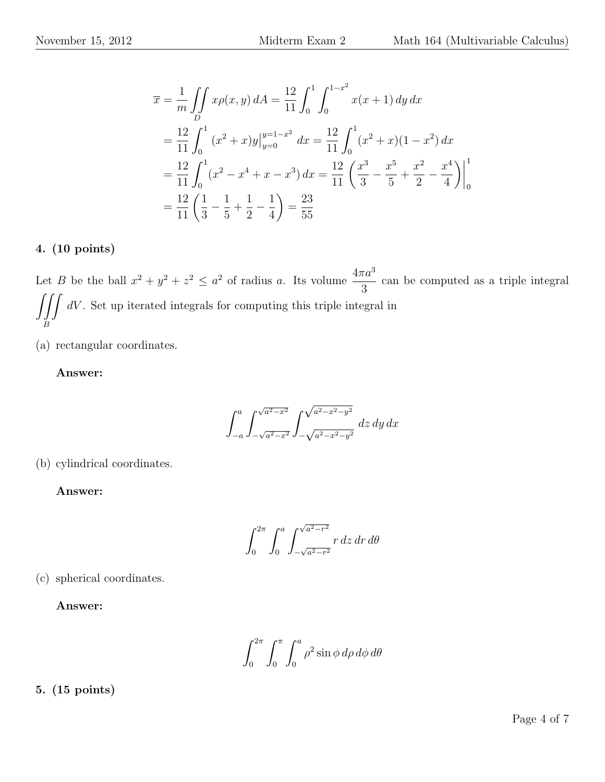$$
\overline{x} = \frac{1}{m} \iint_{D} x\rho(x, y) dA = \frac{12}{11} \int_{0}^{1} \int_{0}^{1-x^{2}} x(x + 1) dy dx
$$
  
\n
$$
= \frac{12}{11} \int_{0}^{1} (x^{2} + x) y \Big|_{y=0}^{y=1-x^{2}} dx = \frac{12}{11} \int_{0}^{1} (x^{2} + x) (1 - x^{2}) dx
$$
  
\n
$$
= \frac{12}{11} \int_{0}^{1} (x^{2} - x^{4} + x - x^{3}) dx = \frac{12}{11} \left( \frac{x^{3}}{3} - \frac{x^{5}}{5} + \frac{x^{2}}{2} - \frac{x^{4}}{4} \right) \Big|_{0}^{1}
$$
  
\n
$$
= \frac{12}{11} \left( \frac{1}{3} - \frac{1}{5} + \frac{1}{2} - \frac{1}{4} \right) = \frac{23}{55}
$$

# 4. (10 points)

Let B be the ball  $x^2 + y^2 + z^2 \leq a^2$  of radius a. Its volume  $\frac{4\pi a^3}{2}$ 3 can be computed as a triple integral  $\int \int$ B  $dV$ . Set up iterated integrals for computing this triple integral in

(a) rectangular coordinates.

## Answer:

 $\int_a^a$  $-a$  $\int \sqrt{a^2-x^2}$  $-\sqrt{a^2-x^2}$ Z  $\sqrt{a^2-x^2-y^2}$  $\int_{-\sqrt{a^2-x^2-y^2}}$  dz dy dx

(b) cylindrical coordinates.

Answer:

$$
\int_0^{2\pi} \int_0^a \int_{-\sqrt{a^2 - r^2}}^{\sqrt{a^2 - r^2}} r \, dz \, dr \, d\theta
$$

(c) spherical coordinates.

Answer:

$$
\int_0^{2\pi} \int_0^{\pi} \int_0^a \rho^2 \sin \phi \, d\rho \, d\phi \, d\theta
$$

5. (15 points)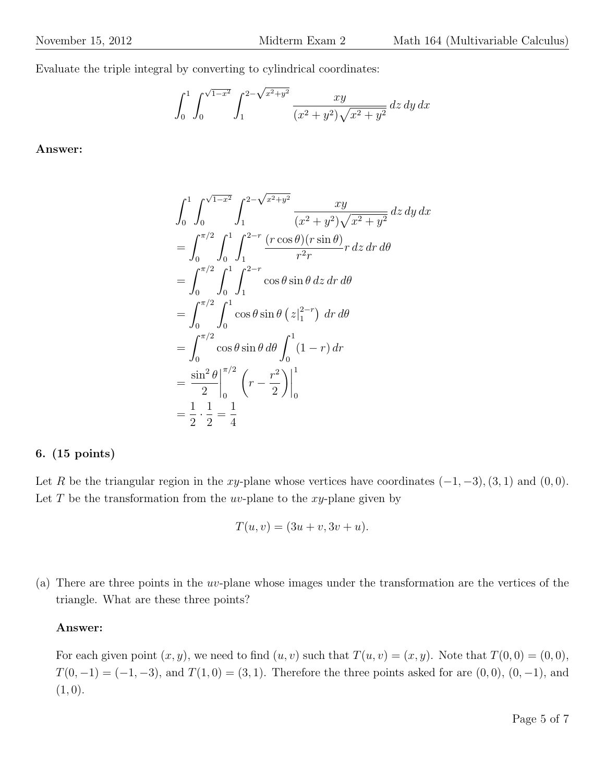Evaluate the triple integral by converting to cylindrical coordinates:

$$
\int_0^1 \int_0^{\sqrt{1-x^2}} \int_1^{2-\sqrt{x^2+y^2}} \frac{xy}{(x^2+y^2)\sqrt{x^2+y^2}} \, dz \, dy \, dx
$$

Answer:

$$
\int_{0}^{1} \int_{0}^{\sqrt{1-x^{2}}} \int_{1}^{2-\sqrt{x^{2}+y^{2}}} \frac{xy}{(x^{2}+y^{2})\sqrt{x^{2}+y^{2}}} dz dy dx
$$
  
= 
$$
\int_{0}^{\pi/2} \int_{0}^{1} \int_{1}^{2-r} \frac{(r \cos \theta)(r \sin \theta)}{r^{2}r} r dz dr d\theta
$$
  
= 
$$
\int_{0}^{\pi/2} \int_{0}^{1} \int_{1}^{2-r} \cos \theta \sin \theta dz dr d\theta
$$
  
= 
$$
\int_{0}^{\pi/2} \int_{0}^{1} \cos \theta \sin \theta (z|_{1}^{2-r}) dr d\theta
$$
  
= 
$$
\int_{0}^{\pi/2} \cos \theta \sin \theta d\theta \int_{0}^{1} (1-r) dr
$$
  
= 
$$
\frac{\sin^{2} \theta}{2} \Big|_{0}^{\pi/2} \left(r - \frac{r^{2}}{2}\right) \Big|_{0}^{1}
$$
  
= 
$$
\frac{1}{2} \cdot \frac{1}{2} = \frac{1}{4}
$$

#### 6. (15 points)

Let R be the triangular region in the xy-plane whose vertices have coordinates  $(-1, -3)$ ,  $(3, 1)$  and  $(0, 0)$ . Let  $T$  be the transformation from the uv-plane to the xy-plane given by

$$
T(u, v) = (3u + v, 3v + u).
$$

(a) There are three points in the uv-plane whose images under the transformation are the vertices of the triangle. What are these three points?

#### Answer:

For each given point  $(x, y)$ , we need to find  $(u, v)$  such that  $T(u, v) = (x, y)$ . Note that  $T(0, 0) = (0, 0)$ ,  $T(0, -1) = (-1, -3)$ , and  $T(1, 0) = (3, 1)$ . Therefore the three points asked for are  $(0, 0)$ ,  $(0, -1)$ , and  $(1, 0).$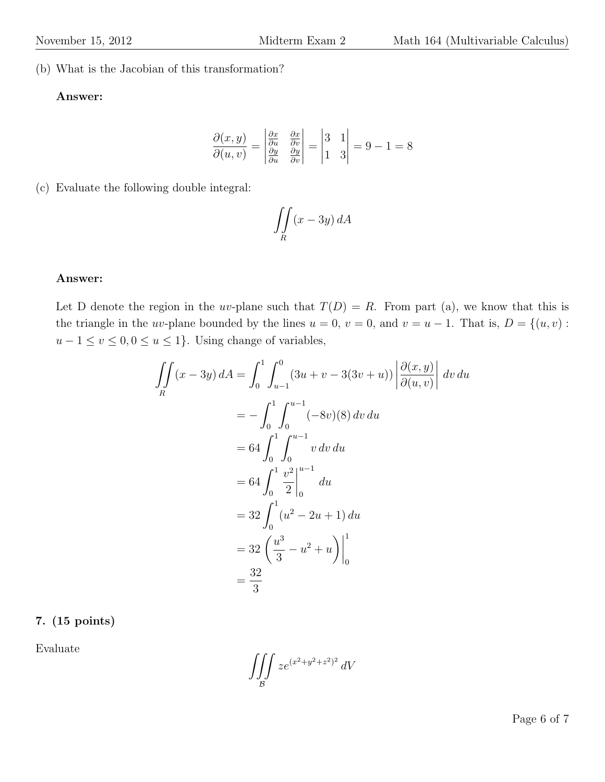(b) What is the Jacobian of this transformation?

### Answer:

$$
\frac{\partial(x,y)}{\partial(u,v)} = \begin{vmatrix} \frac{\partial x}{\partial u} & \frac{\partial x}{\partial v} \\ \frac{\partial y}{\partial u} & \frac{\partial y}{\partial v} \end{vmatrix} = \begin{vmatrix} 3 & 1 \\ 1 & 3 \end{vmatrix} = 9 - 1 = 8
$$

(c) Evaluate the following double integral:

$$
\iint\limits_R (x - 3y) \, dA
$$

#### Answer:

Let D denote the region in the uv-plane such that  $T(D) = R$ . From part (a), we know that this is the triangle in the uv-plane bounded by the lines  $u = 0$ ,  $v = 0$ , and  $v = u - 1$ . That is,  $D = \{(u, v) :$  $u - 1 \le v \le 0, 0 \le u \le 1$ . Using change of variables,

$$
\iint_{R} (x - 3y) dA = \int_{0}^{1} \int_{u-1}^{0} (3u + v - 3(3v + u)) \left| \frac{\partial(x, y)}{\partial(u, v)} \right| dv du
$$
  
\n
$$
= - \int_{0}^{1} \int_{0}^{u-1} (-8v)(8) dv du
$$
  
\n
$$
= 64 \int_{0}^{1} \int_{0}^{u-1} v dv du
$$
  
\n
$$
= 64 \int_{0}^{1} \left| \frac{v^{2}}{2} \right|_{0}^{u-1} du
$$
  
\n
$$
= 32 \int_{0}^{1} (u^{2} - 2u + 1) du
$$
  
\n
$$
= 32 \left( \frac{u^{3}}{3} - u^{2} + u \right) \Big|_{0}^{1}
$$
  
\n
$$
= \frac{32}{3}
$$

### 7. (15 points)

Evaluate

$$
\iiint\limits_{\mathcal{B}} z e^{(x^2+y^2+z^2)^2} dV
$$